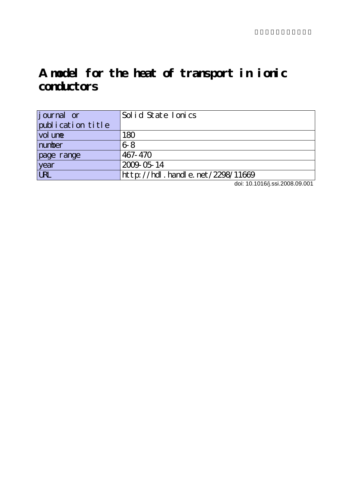# **A model for the heat of transport in ionic conductors**

| journal or        | Solid State Ionics               |
|-------------------|----------------------------------|
| publication title |                                  |
| vol une           | 180                              |
| number            | $6-8$                            |
| page range        | 467-470                          |
| year              | 2009-05-14                       |
| <b>LRL</b>        | http://hdl.handle.net/2298/11669 |

doi: 10.1016/j.ssi.2008.09.001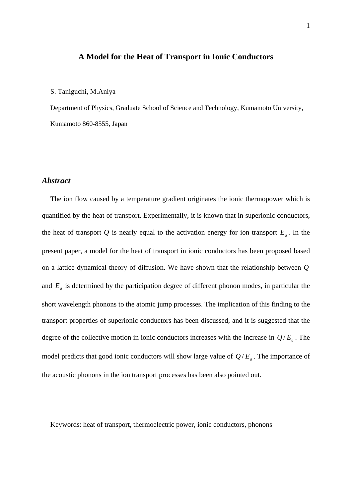## **A Model for the Heat of Transport in Ionic Conductors**

#### S. Taniguchi, M.Aniya

Department of Physics, Graduate School of Science and Technology, Kumamoto University, Kumamoto 860-8555, Japan

#### *Abstract*

The ion flow caused by a temperature gradient originates the ionic thermopower which is quantified by the heat of transport. Experimentally, it is known that in superionic conductors, the heat of transport  $Q$  is nearly equal to the activation energy for ion transport  $E_a$ . In the present paper, a model for the heat of transport in ionic conductors has been proposed based on a lattice dynamical theory of diffusion. We have shown that the relationship between *Q* and *Ea* is determined by the participation degree of different phonon modes, in particular the short wavelength phonons to the atomic jump processes. The implication of this finding to the transport properties of superionic conductors has been discussed, and it is suggested that the degree of the collective motion in ionic conductors increases with the increase in  $Q/E_a$ . The model predicts that good ionic conductors will show large value of  $Q/E_a$ . The importance of the acoustic phonons in the ion transport processes has been also pointed out.

Keywords: heat of transport, thermoelectric power, ionic conductors, phonons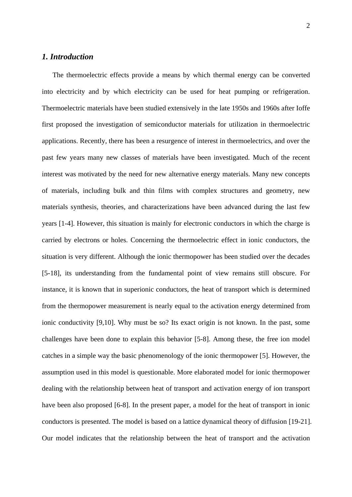# *1. Introduction*

The thermoelectric effects provide a means by which thermal energy can be converted into electricity and by which electricity can be used for heat pumping or refrigeration. Thermoelectric materials have been studied extensively in the late 1950s and 1960s after Ioffe first proposed the investigation of semiconductor materials for utilization in thermoelectric applications. Recently, there has been a resurgence of interest in thermoelectrics, and over the past few years many new classes of materials have been investigated. Much of the recent interest was motivated by the need for new alternative energy materials. Many new concepts of materials, including bulk and thin films with complex structures and geometry, new materials synthesis, theories, and characterizations have been advanced during the last few years [1-4]. However, this situation is mainly for electronic conductors in which the charge is carried by electrons or holes. Concerning the thermoelectric effect in ionic conductors, the situation is very different. Although the ionic thermopower has been studied over the decades [5-18], its understanding from the fundamental point of view remains still obscure. For instance, it is known that in superionic conductors, the heat of transport which is determined from the thermopower measurement is nearly equal to the activation energy determined from ionic conductivity [9,10]. Why must be so? Its exact origin is not known. In the past, some challenges have been done to explain this behavior [5-8]. Among these, the free ion model catches in a simple way the basic phenomenology of the ionic thermopower [5]. However, the assumption used in this model is questionable. More elaborated model for ionic thermopower dealing with the relationship between heat of transport and activation energy of ion transport have been also proposed [6-8]. In the present paper, a model for the heat of transport in ionic conductors is presented. The model is based on a lattice dynamical theory of diffusion [19-21]. Our model indicates that the relationship between the heat of transport and the activation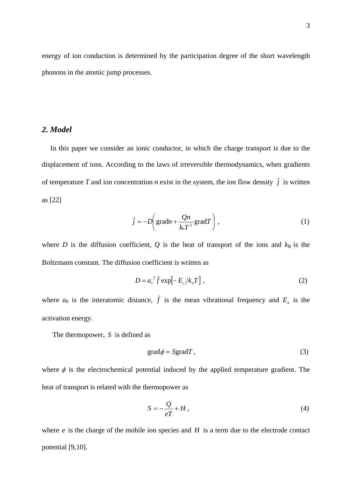energy of ion conduction is determined by the participation degree of the short wavelength phonons in the atomic jump processes.

#### *2. Model*

In this paper we consider an ionic conductor, in which the charge transport is due to the displacement of ions. According to the laws of irreversible thermodynamics, when gradients of temperature *T* and ion concentration *n* exist in the system, the ion flow density  $\vec{j}$  is written as [22]

$$
\vec{j} = -D\left(\text{grad}n + \frac{Qn}{k_B T^2}\text{grad}T\right),\tag{1}
$$

where *D* is the diffusion coefficient,  $Q$  is the heat of transport of the ions and  $k_B$  is the Boltzmann constant. The diffusion coefficient is written as

$$
D = ao2 \bar{f} \exp[-Ea/ka T],
$$
 (2)

where  $a_0$  is the interatomic distance,  $\bar{f}$  is the mean vibrational frequency and  $E_a$  is the activation energy.

The thermopower, *S* is defined as

$$
grad \phi = Sgrad T, \qquad (3)
$$

where  $\phi$  is the electrochemical potential induced by the applied temperature gradient. The heat of transport is related with the thermopower as

$$
S = -\frac{Q}{eT} + H\,,\tag{4}
$$

where *e* is the charge of the mobile ion species and *H* is a term due to the electrode contact potential [9,10].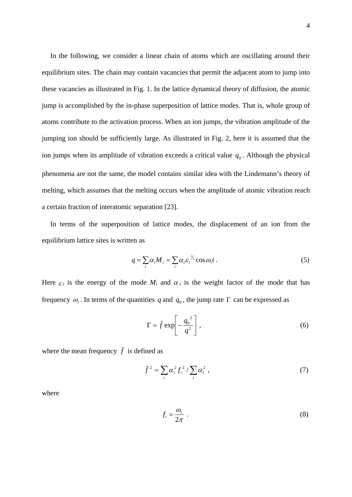In the following, we consider a linear chain of atoms which are oscillating around their equilibrium sites. The chain may contain vacancies that permit the adjacent atom to jump into these vacancies as illustrated in Fig. 1. In the lattice dynamical theory of diffusion, the atomic jump is accomplished by the in-phase superposition of lattice modes. That is, whole group of atoms contribute to the activation process. When an ion jumps, the vibration amplitude of the jumping ion should be sufficiently large. As illustrated in Fig. 2, here it is assumed that the ion jumps when its amplitude of vibration exceeds a critical value  $q_0$ . Although the physical phenomena are not the same, the model contains similar idea with the Lindemann's theory of melting, which assumes that the melting occurs when the amplitude of atomic vibration reach a certain fraction of interatomic separation [23].

In terms of the superposition of lattice modes, the displacement of an ion from the equilibrium lattice sites is written as

$$
q = \sum_{i} \alpha_{i} M_{i} = \sum_{i} \alpha_{i} \varepsilon_{i}^{1/2} \cos \omega_{i} t .
$$
 (5)

Here  $\varepsilon_i$  is the energy of the mode  $M_i$  and  $\alpha_i$  is the weight factor of the mode that has frequency  $\omega_i$ . In terms of the quantities q and  $q_0$ , the jump rate  $\Gamma$  can be expressed as

$$
\Gamma = \bar{f} \exp\left[-\frac{q_0^2}{q^2}\right],\tag{6}
$$

where the mean frequency  $\bar{f}$  is defined as

$$
\bar{f}^2 = \sum_i \alpha_i^2 f_i^2 / \sum_i \alpha_i^2 , \qquad (7)
$$

where

$$
f_i = \frac{\omega_i}{2\pi} \tag{8}
$$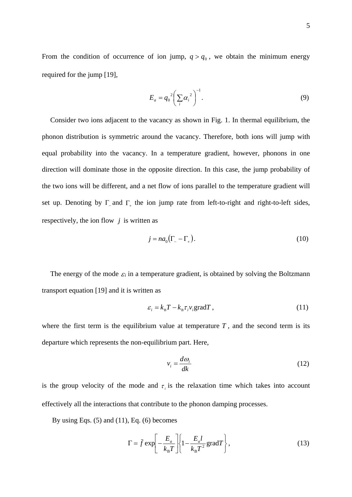From the condition of occurrence of ion jump,  $q > q_0$ , we obtain the minimum energy required for the jump [19],

$$
E_a = q_0^2 \left(\sum_i \alpha_i^2\right)^{-1}.
$$
 (9)

Consider two ions adjacent to the vacancy as shown in Fig. 1. In thermal equilibrium, the phonon distribution is symmetric around the vacancy. Therefore, both ions will jump with equal probability into the vacancy. In a temperature gradient, however, phonons in one direction will dominate those in the opposite direction. In this case, the jump probability of the two ions will be different, and a net flow of ions parallel to the temperature gradient will set up. Denoting by Γ and Γ the ion jump rate from left-to-right and right-to-left sides, respectively, the ion flow *j* is written as

$$
j = na_0 \left( \Gamma_- - \Gamma_+ \right). \tag{10}
$$

The energy of the mode  $\varepsilon_i$  in a temperature gradient, is obtained by solving the Boltzmann transport equation [19] and it is written as

$$
\varepsilon_i = k_{\rm B} T - k_{\rm B} \tau_i v_i \text{grad} T \,, \tag{11}
$$

where the first term is the equilibrium value at temperature  $T$ , and the second term is its departure which represents the non-equilibrium part. Here,

$$
v_i = \frac{d\omega_i}{dk} \tag{12}
$$

is the group velocity of the mode and  $\tau_i$  is the relaxation time which takes into account effectively all the interactions that contribute to the phonon damping processes.

By using Eqs.  $(5)$  and  $(11)$ , Eq.  $(6)$  becomes

$$
\Gamma = \bar{f} \exp\left[-\frac{E_a}{k_B T}\right] \left\{1 - \frac{E_a l}{k_B T^2} \text{grad} T\right\},\tag{13}
$$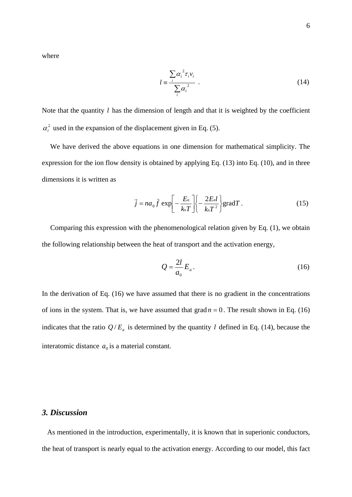where

$$
l = \frac{\sum_{i} \alpha_i^2 \tau_i v_i}{\sum_{i} \alpha_i^2} \tag{14}
$$

Note that the quantity *l* has the dimension of length and that it is weighted by the coefficient  $\alpha_i^2$  used in the expansion of the displacement given in Eq. (5).

We have derived the above equations in one dimension for mathematical simplicity. The expression for the ion flow density is obtained by applying Eq. (13) into Eq. (10), and in three dimensions it is written as

$$
\vec{j} = na_0 \bar{f} \exp\left[-\frac{E_a}{k_B T}\right] \left\{-\frac{2E_a I}{k_B T^2}\right\} \text{grad} T. \tag{15}
$$

Comparing this expression with the phenomenological relation given by Eq. (1), we obtain the following relationship between the heat of transport and the activation energy,

$$
Q = \frac{2l}{a_0} E_a.
$$
 (16)

In the derivation of Eq. (16) we have assumed that there is no gradient in the concentrations of ions in the system. That is, we have assumed that  $\text{grad } n = 0$ . The result shown in Eq. (16) indicates that the ratio  $Q/E_a$  is determined by the quantity *l* defined in Eq. (14), because the interatomic distance  $a_0$  is a material constant.

# *3. Discussion*

 As mentioned in the introduction, experimentally, it is known that in superionic conductors, the heat of transport is nearly equal to the activation energy. According to our model, this fact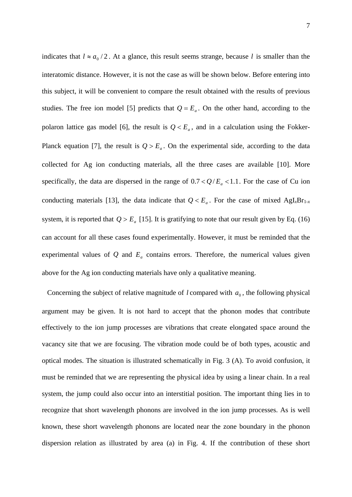indicates that  $l \approx a_0/2$ . At a glance, this result seems strange, because *l* is smaller than the interatomic distance. However, it is not the case as will be shown below. Before entering into this subject, it will be convenient to compare the result obtained with the results of previous studies. The free ion model [5] predicts that  $Q = E_a$ . On the other hand, according to the polaron lattice gas model [6], the result is  $Q \lt E_a$ , and in a calculation using the Fokker-Planck equation [7], the result is  $Q > E_a$ . On the experimental side, according to the data collected for Ag ion conducting materials, all the three cases are available [10]. More specifically, the data are dispersed in the range of  $0.7 < Q/E_a < 1.1$ . For the case of Cu ion conducting materials [13], the data indicate that  $Q < E_a$ . For the case of mixed AgI<sub>*x*</sub>Br<sub>1-*x*</sub> system, it is reported that  $Q > E_a$  [15]. It is gratifying to note that our result given by Eq. (16) can account for all these cases found experimentally. However, it must be reminded that the experimental values of  $Q$  and  $E_a$  contains errors. Therefore, the numerical values given above for the Ag ion conducting materials have only a qualitative meaning.

Concerning the subject of relative magnitude of *l* compared with  $a_0$ , the following physical argument may be given. It is not hard to accept that the phonon modes that contribute effectively to the ion jump processes are vibrations that create elongated space around the vacancy site that we are focusing. The vibration mode could be of both types, acoustic and optical modes. The situation is illustrated schematically in Fig. 3 (A). To avoid confusion, it must be reminded that we are representing the physical idea by using a linear chain. In a real system, the jump could also occur into an interstitial position. The important thing lies in to recognize that short wavelength phonons are involved in the ion jump processes. As is well known, these short wavelength phonons are located near the zone boundary in the phonon dispersion relation as illustrated by area (a) in Fig. 4. If the contribution of these short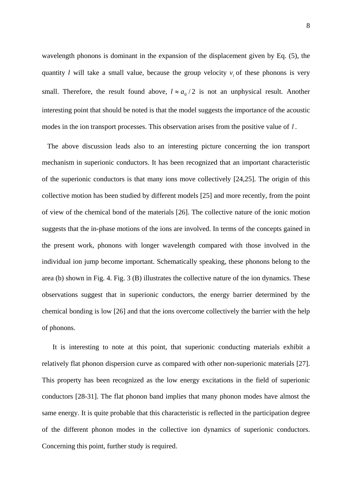wavelength phonons is dominant in the expansion of the displacement given by Eq. (5), the quantity *l* will take a small value, because the group velocity  $v_i$  of these phonons is very small. Therefore, the result found above,  $l \approx a_0/2$  is not an unphysical result. Another interesting point that should be noted is that the model suggests the importance of the acoustic modes in the ion transport processes. This observation arises from the positive value of *l* .

 The above discussion leads also to an interesting picture concerning the ion transport mechanism in superionic conductors. It has been recognized that an important characteristic of the superionic conductors is that many ions move collectively [24,25]. The origin of this collective motion has been studied by different models [25] and more recently, from the point of view of the chemical bond of the materials [26]. The collective nature of the ionic motion suggests that the in-phase motions of the ions are involved. In terms of the concepts gained in the present work, phonons with longer wavelength compared with those involved in the individual ion jump become important. Schematically speaking, these phonons belong to the area (b) shown in Fig. 4. Fig. 3 (B) illustrates the collective nature of the ion dynamics. These observations suggest that in superionic conductors, the energy barrier determined by the chemical bonding is low [26] and that the ions overcome collectively the barrier with the help of phonons.

It is interesting to note at this point, that superionic conducting materials exhibit a relatively flat phonon dispersion curve as compared with other non-superionic materials [27]. This property has been recognized as the low energy excitations in the field of superionic conductors [28-31]. The flat phonon band implies that many phonon modes have almost the same energy. It is quite probable that this characteristic is reflected in the participation degree of the different phonon modes in the collective ion dynamics of superionic conductors. Concerning this point, further study is required.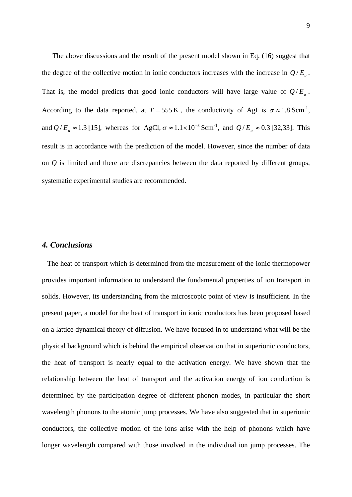The above discussions and the result of the present model shown in Eq. (16) suggest that the degree of the collective motion in ionic conductors increases with the increase in  $Q/E_a$ . That is, the model predicts that good ionic conductors will have large value of  $Q/E_a$ . According to the data reported, at  $T = 555 \text{ K}$ , the conductivity of AgI is  $\sigma \approx 1.8 \text{ Scm}^{-1}$ , and  $Q/E_a \approx 1.3$  [15], whereas for AgCl,  $\sigma \approx 1.1 \times 10^{-3}$  Scm<sup>-1</sup>, and  $Q/E_a \approx 0.3$  [32,33]. This result is in accordance with the prediction of the model. However, since the number of data on *Q* is limited and there are discrepancies between the data reported by different groups, systematic experimental studies are recommended.

## *4. Conclusions*

 The heat of transport which is determined from the measurement of the ionic thermopower provides important information to understand the fundamental properties of ion transport in solids. However, its understanding from the microscopic point of view is insufficient. In the present paper, a model for the heat of transport in ionic conductors has been proposed based on a lattice dynamical theory of diffusion. We have focused in to understand what will be the physical background which is behind the empirical observation that in superionic conductors, the heat of transport is nearly equal to the activation energy. We have shown that the relationship between the heat of transport and the activation energy of ion conduction is determined by the participation degree of different phonon modes, in particular the short wavelength phonons to the atomic jump processes. We have also suggested that in superionic conductors, the collective motion of the ions arise with the help of phonons which have longer wavelength compared with those involved in the individual ion jump processes. The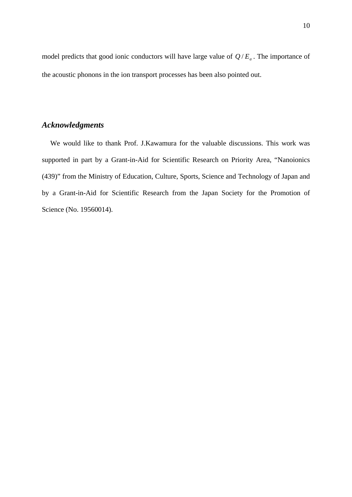model predicts that good ionic conductors will have large value of  $Q/E_a$ . The importance of the acoustic phonons in the ion transport processes has been also pointed out.

# *Acknowledgments*

We would like to thank Prof. J.Kawamura for the valuable discussions. This work was supported in part by a Grant-in-Aid for Scientific Research on Priority Area, "Nanoionics (439)" from the Ministry of Education, Culture, Sports, Science and Technology of Japan and by a Grant-in-Aid for Scientific Research from the Japan Society for the Promotion of Science (No. 19560014).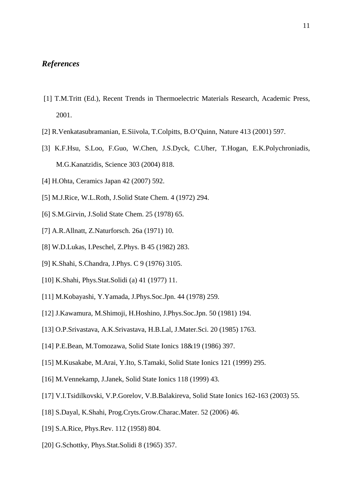# *References*

- [1] T.M.Tritt (Ed.), Recent Trends in Thermoelectric Materials Research, Academic Press, 2001.
- [2] R.Venkatasubramanian, E.Siivola, T.Colpitts, B.O'Quinn, Nature 413 (2001) 597.
- [3] K.F.Hsu, S.Loo, F.Guo, W.Chen, J.S.Dyck, C.Uher, T.Hogan, E.K.Polychroniadis, M.G.Kanatzidis, Science 303 (2004) 818.
- [4] H.Ohta, Ceramics Japan 42 (2007) 592.
- [5] M.J.Rice, W.L.Roth, J.Solid State Chem. 4 (1972) 294.
- [6] S.M.Girvin, J.Solid State Chem. 25 (1978) 65.
- [7] A.R.Allnatt, Z.Naturforsch. 26a (1971) 10.
- [8] W.D.Lukas, I.Peschel, Z.Phys. B 45 (1982) 283.
- [9] K.Shahi, S.Chandra, J.Phys. C 9 (1976) 3105.
- [10] K.Shahi, Phys.Stat.Solidi (a) 41 (1977) 11.
- [11] M.Kobayashi, Y.Yamada, J.Phys.Soc.Jpn. 44 (1978) 259.
- [12] J.Kawamura, M.Shimoji, H.Hoshino, J.Phys.Soc.Jpn. 50 (1981) 194.
- [13] O.P.Srivastava, A.K.Srivastava, H.B.Lal, J.Mater.Sci. 20 (1985) 1763.
- [14] P.E.Bean, M.Tomozawa, Solid State Ionics 18&19 (1986) 397.
- [15] M.Kusakabe, M.Arai, Y.Ito, S.Tamaki, Solid State Ionics 121 (1999) 295.
- [16] M.Vennekamp, J.Janek, Solid State Ionics 118 (1999) 43.
- [17] V.I.Tsidilkovski, V.P.Gorelov, V.B.Balakireva, Solid State Ionics 162-163 (2003) 55.
- [18] S.Dayal, K.Shahi, Prog.Cryts.Grow.Charac.Mater. 52 (2006) 46.
- [19] S.A.Rice, Phys.Rev. 112 (1958) 804.
- [20] G.Schottky, Phys.Stat.Solidi 8 (1965) 357.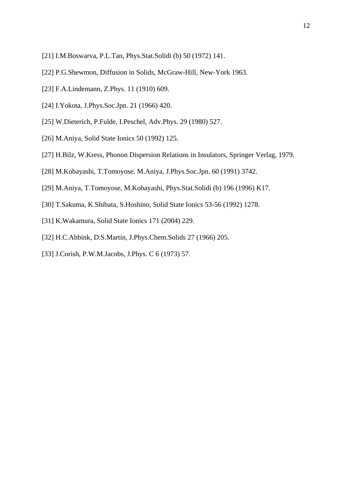- [21] I.M.Boswarva, P.L.Tan, Phys.Stat.Solidi (b) 50 (1972) 141.
- [22] P.G.Shewmon, Diffusion in Solids, McGraw-Hill, New-York 1963.
- [23] F.A.Lindemann, Z.Phys. 11 (1910) 609.
- [24] I.Yokota, J.Phys.Soc.Jpn. 21 (1966) 420.
- [25] W.Dieterich, P.Fulde, I.Peschel, Adv.Phys. 29 (1980) 527.
- [26] M.Aniya, Solid State Ionics 50 (1992) 125.
- [27] H.Bilz, W.Kress, Phonon Dispersion Relations in Insulators, Springer Verlag, 1979.
- [28] M.Kobayashi, T.Tomoyose, M.Aniya, J.Phys.Soc.Jpn. 60 (1991) 3742.
- [29] M.Aniya, T.Tomoyose, M.Kobayashi, Phys.Stat.Solidi (b) 196 (1996) K17.
- [30] T.Sakuma, K.Shibata, S.Hoshino, Solid State Ionics 53-56 (1992) 1278.
- [31] K.Wakamura, Solid State Ionics 171 (2004) 229.
- [32] H.C.Abbink, D.S.Martin, J.Phys.Chem.Solids 27 (1966) 205.
- [33] J.Corish, P.W.M.Jacobs, J.Phys. C 6 (1973) 57.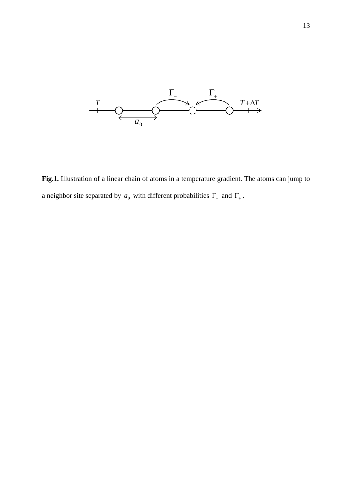

**Fig.1.** Illustration of a linear chain of atoms in a temperature gradient. The atoms can jump to a neighbor site separated by  $a_0$  with different probabilities  $\Gamma_-\$  and  $\Gamma_+$ .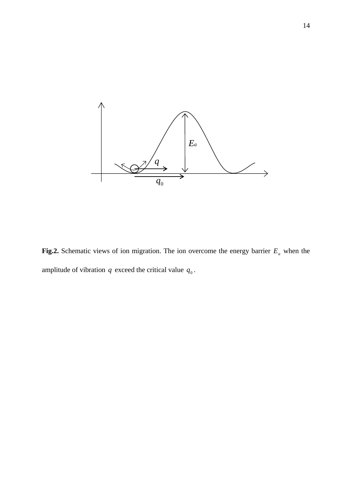

**Fig.2.** Schematic views of ion migration. The ion overcome the energy barrier  $E_a$  when the amplitude of vibration  $q$  exceed the critical value  $q_0$ .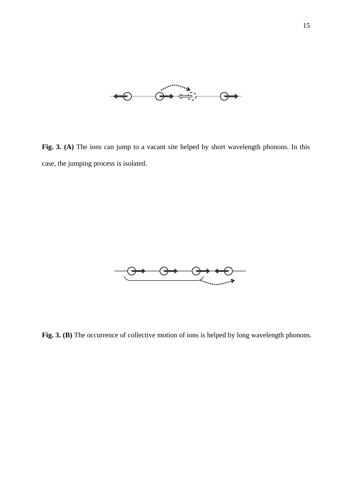

Fig. 3. (A) The ions can jump to a vacant site helped by short wavelength phonons. In this case, the jumping process is isolated.



Fig. 3. (B) The occurrence of collective motion of ions is helped by long wavelength phonons.